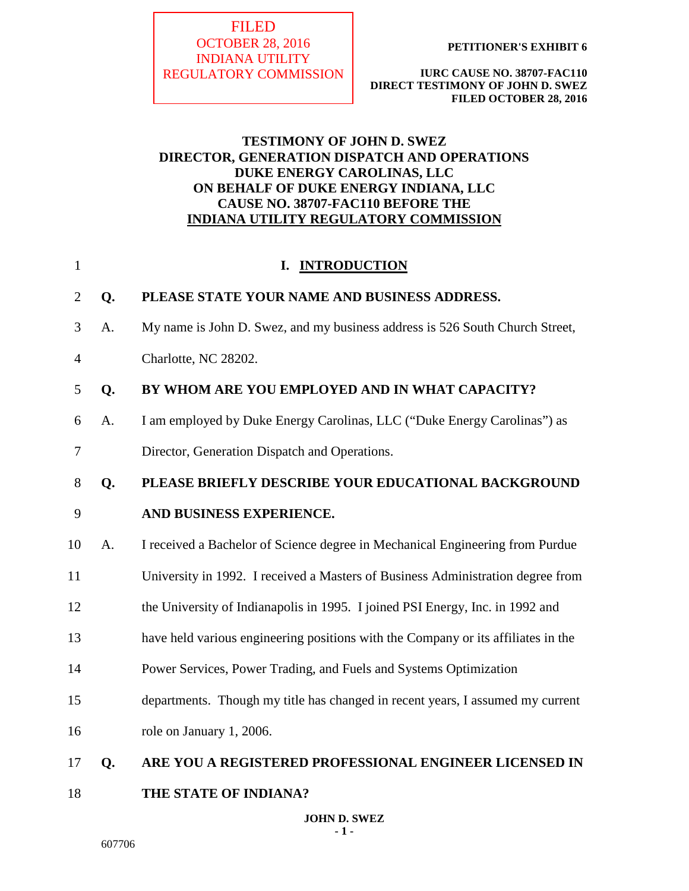**FILED** OCTOBER 28, 2016 INDIANA UTILITY REGULATORY COMMISSION

**PETITIONER'S EXHIBIT 6**

**IURC CAUSE NO. 38707-FAC110 DIRECT TESTIMONY OF JOHN D. SWEZ FILED OCTOBER 28, 2016**

# **TESTIMONY OF JOHN D. SWEZ DIRECTOR, GENERATION DISPATCH AND OPERATIONS DUKE ENERGY CAROLINAS, LLC ON BEHALF OF DUKE ENERGY INDIANA, LLC CAUSE NO. 38707-FAC110 BEFORE THE INDIANA UTILITY REGULATORY COMMISSION**

| $\mathbf{1}$ |    | I. INTRODUCTION                                                                   |
|--------------|----|-----------------------------------------------------------------------------------|
| 2            | Q. | PLEASE STATE YOUR NAME AND BUSINESS ADDRESS.                                      |
| 3            | A. | My name is John D. Swez, and my business address is 526 South Church Street,      |
| 4            |    | Charlotte, NC 28202.                                                              |
| 5            | Q. | BY WHOM ARE YOU EMPLOYED AND IN WHAT CAPACITY?                                    |
| 6            | A. | I am employed by Duke Energy Carolinas, LLC ("Duke Energy Carolinas") as          |
| 7            |    | Director, Generation Dispatch and Operations.                                     |
| 8            | Q. | PLEASE BRIEFLY DESCRIBE YOUR EDUCATIONAL BACKGROUND                               |
| 9            |    | AND BUSINESS EXPERIENCE.                                                          |
| 10           | A. | I received a Bachelor of Science degree in Mechanical Engineering from Purdue     |
| 11           |    | University in 1992. I received a Masters of Business Administration degree from   |
| 12           |    | the University of Indianapolis in 1995. I joined PSI Energy, Inc. in 1992 and     |
| 13           |    | have held various engineering positions with the Company or its affiliates in the |
| 14           |    | Power Services, Power Trading, and Fuels and Systems Optimization                 |
| 15           |    | departments. Though my title has changed in recent years, I assumed my current    |
| 16           |    | role on January 1, 2006.                                                          |
| 17           | Q. | ARE YOU A REGISTERED PROFESSIONAL ENGINEER LICENSED IN                            |
| 18           |    | THE STATE OF INDIANA?                                                             |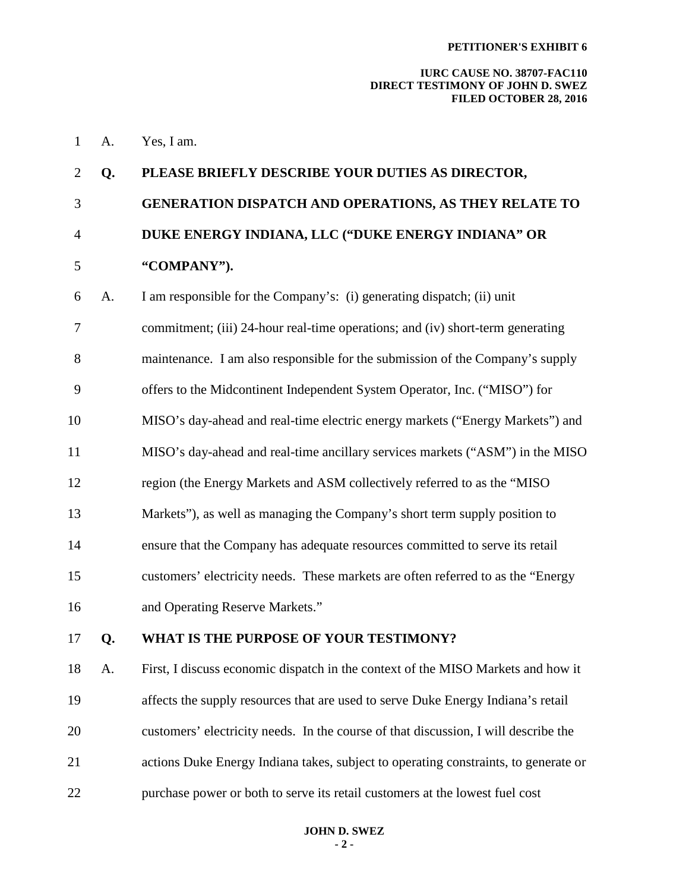#### **IURC CAUSE NO. 38707-FAC110 DIRECT TESTIMONY OF JOHN D. SWEZ FILED OCTOBER 28, 2016**

1 A. Yes, I am.

# 2 **Q. PLEASE BRIEFLY DESCRIBE YOUR DUTIES AS DIRECTOR,**  3 **GENERATION DISPATCH AND OPERATIONS, AS THEY RELATE TO**  4 **DUKE ENERGY INDIANA, LLC ("DUKE ENERGY INDIANA" OR**  5 **"COMPANY").**

6 A. I am responsible for the Company's: (i) generating dispatch; (ii) unit 7 commitment; (iii) 24-hour real-time operations; and (iv) short-term generating 8 maintenance. I am also responsible for the submission of the Company's supply 9 offers to the Midcontinent Independent System Operator, Inc. ("MISO") for 10 MISO's day-ahead and real-time electric energy markets ("Energy Markets") and 11 MISO's day-ahead and real-time ancillary services markets ("ASM") in the MISO 12 region (the Energy Markets and ASM collectively referred to as the "MISO 13 Markets"), as well as managing the Company's short term supply position to 14 ensure that the Company has adequate resources committed to serve its retail 15 customers' electricity needs. These markets are often referred to as the "Energy 16 and Operating Reserve Markets."

## 17 **Q. WHAT IS THE PURPOSE OF YOUR TESTIMONY?**

18 A. First, I discuss economic dispatch in the context of the MISO Markets and how it 19 affects the supply resources that are used to serve Duke Energy Indiana's retail 20 customers' electricity needs. In the course of that discussion, I will describe the 21 actions Duke Energy Indiana takes, subject to operating constraints, to generate or 22 purchase power or both to serve its retail customers at the lowest fuel cost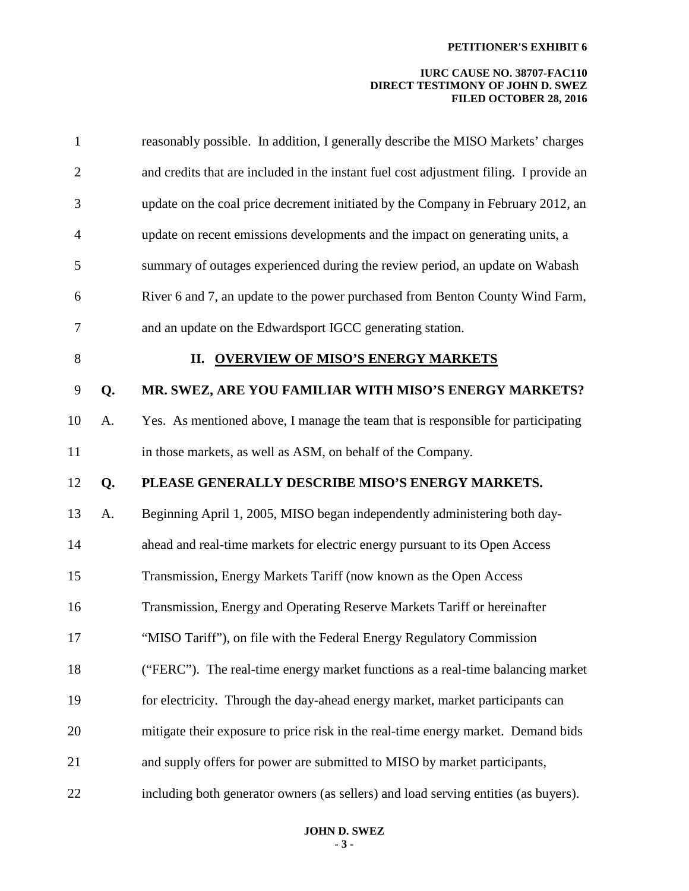| 1              |    | reasonably possible. In addition, I generally describe the MISO Markets' charges       |
|----------------|----|----------------------------------------------------------------------------------------|
| $\mathbf{2}$   |    | and credits that are included in the instant fuel cost adjustment filing. I provide an |
| 3              |    | update on the coal price decrement initiated by the Company in February 2012, an       |
| $\overline{4}$ |    | update on recent emissions developments and the impact on generating units, a          |
| 5              |    | summary of outages experienced during the review period, an update on Wabash           |
| 6              |    | River 6 and 7, an update to the power purchased from Benton County Wind Farm,          |
| 7              |    | and an update on the Edwardsport IGCC generating station.                              |
| $8\,$          |    | II. OVERVIEW OF MISO'S ENERGY MARKETS                                                  |
| 9              | Q. | MR. SWEZ, ARE YOU FAMILIAR WITH MISO'S ENERGY MARKETS?                                 |
| 10             | A. | Yes. As mentioned above, I manage the team that is responsible for participating       |
| 11             |    | in those markets, as well as ASM, on behalf of the Company.                            |
| 12             | Q. | PLEASE GENERALLY DESCRIBE MISO'S ENERGY MARKETS.                                       |
| 13             | A. | Beginning April 1, 2005, MISO began independently administering both day-              |
| 14             |    | ahead and real-time markets for electric energy pursuant to its Open Access            |
| 15             |    | Transmission, Energy Markets Tariff (now known as the Open Access                      |
| 16             |    | Transmission, Energy and Operating Reserve Markets Tariff or hereinafter               |
| 17             |    | "MISO Tariff"), on file with the Federal Energy Regulatory Commission                  |
| 18             |    | ("FERC"). The real-time energy market functions as a real-time balancing market        |
| 19             |    | for electricity. Through the day-ahead energy market, market participants can          |
| 20             |    | mitigate their exposure to price risk in the real-time energy market. Demand bids      |
| 21             |    | and supply offers for power are submitted to MISO by market participants,              |
| 22             |    | including both generator owners (as sellers) and load serving entities (as buyers).    |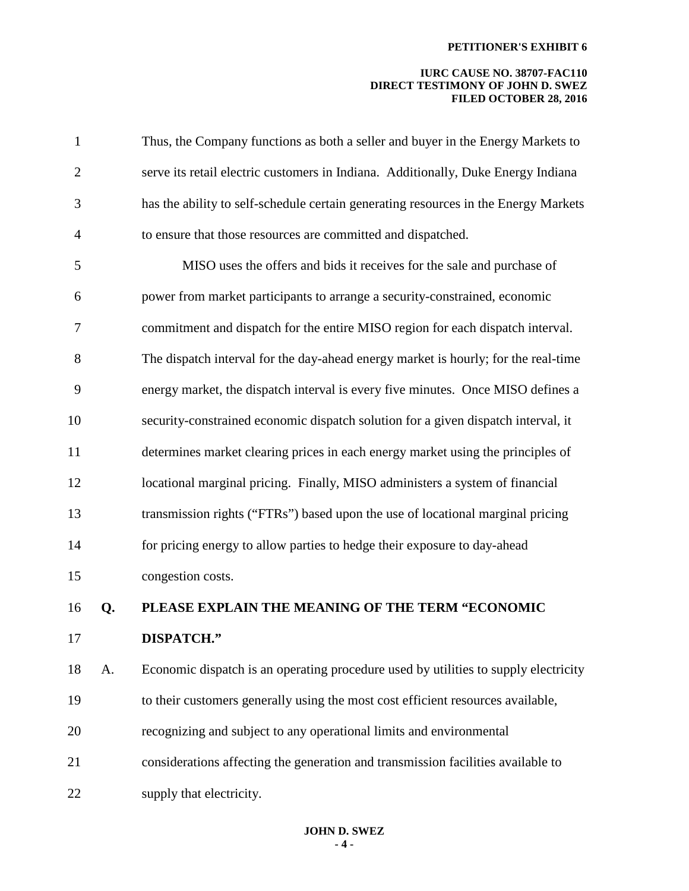| $\mathbf{1}$   |    | Thus, the Company functions as both a seller and buyer in the Energy Markets to     |
|----------------|----|-------------------------------------------------------------------------------------|
| $\overline{2}$ |    | serve its retail electric customers in Indiana. Additionally, Duke Energy Indiana   |
| 3              |    | has the ability to self-schedule certain generating resources in the Energy Markets |
| $\overline{4}$ |    | to ensure that those resources are committed and dispatched.                        |
| 5              |    | MISO uses the offers and bids it receives for the sale and purchase of              |
| 6              |    | power from market participants to arrange a security-constrained, economic          |
| 7              |    | commitment and dispatch for the entire MISO region for each dispatch interval.      |
| 8              |    | The dispatch interval for the day-ahead energy market is hourly; for the real-time  |
| 9              |    | energy market, the dispatch interval is every five minutes. Once MISO defines a     |
| 10             |    | security-constrained economic dispatch solution for a given dispatch interval, it   |
| 11             |    | determines market clearing prices in each energy market using the principles of     |
| 12             |    | locational marginal pricing. Finally, MISO administers a system of financial        |
| 13             |    | transmission rights ("FTRs") based upon the use of locational marginal pricing      |
| 14             |    | for pricing energy to allow parties to hedge their exposure to day-ahead            |
| 15             |    | congestion costs.                                                                   |
| 16             | Q. | PLEASE EXPLAIN THE MEANING OF THE TERM "ECONOMIC                                    |
| 17             |    | DISPATCH."                                                                          |
| 18             | A. | Economic dispatch is an operating procedure used by utilities to supply electricity |
| 19             |    | to their customers generally using the most cost efficient resources available,     |
| 20             |    | recognizing and subject to any operational limits and environmental                 |
| 21             |    | considerations affecting the generation and transmission facilities available to    |
| 22             |    | supply that electricity.                                                            |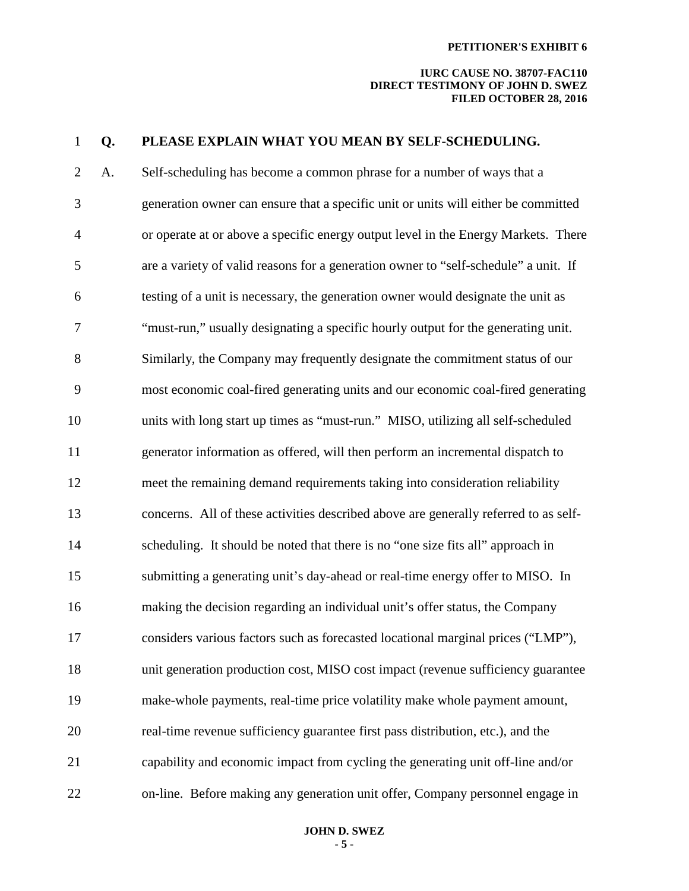| $\mathbf 1$    | Q. | PLEASE EXPLAIN WHAT YOU MEAN BY SELF-SCHEDULING.                                     |
|----------------|----|--------------------------------------------------------------------------------------|
| $\mathbf{2}$   | A. | Self-scheduling has become a common phrase for a number of ways that a               |
| 3              |    | generation owner can ensure that a specific unit or units will either be committed   |
| $\overline{4}$ |    | or operate at or above a specific energy output level in the Energy Markets. There   |
| 5              |    | are a variety of valid reasons for a generation owner to "self-schedule" a unit. If  |
| 6              |    | testing of a unit is necessary, the generation owner would designate the unit as     |
| 7              |    | "must-run," usually designating a specific hourly output for the generating unit.    |
| 8              |    | Similarly, the Company may frequently designate the commitment status of our         |
| 9              |    | most economic coal-fired generating units and our economic coal-fired generating     |
| 10             |    | units with long start up times as "must-run." MISO, utilizing all self-scheduled     |
| 11             |    | generator information as offered, will then perform an incremental dispatch to       |
| 12             |    | meet the remaining demand requirements taking into consideration reliability         |
| 13             |    | concerns. All of these activities described above are generally referred to as self- |
| 14             |    | scheduling. It should be noted that there is no "one size fits all" approach in      |
| 15             |    | submitting a generating unit's day-ahead or real-time energy offer to MISO. In       |
| 16             |    | making the decision regarding an individual unit's offer status, the Company         |
| 17             |    | considers various factors such as forecasted locational marginal prices ("LMP"),     |
| 18             |    | unit generation production cost, MISO cost impact (revenue sufficiency guarantee     |
| 19             |    | make-whole payments, real-time price volatility make whole payment amount,           |
| 20             |    | real-time revenue sufficiency guarantee first pass distribution, etc.), and the      |
| 21             |    | capability and economic impact from cycling the generating unit off-line and/or      |
| 22             |    | on-line. Before making any generation unit offer, Company personnel engage in        |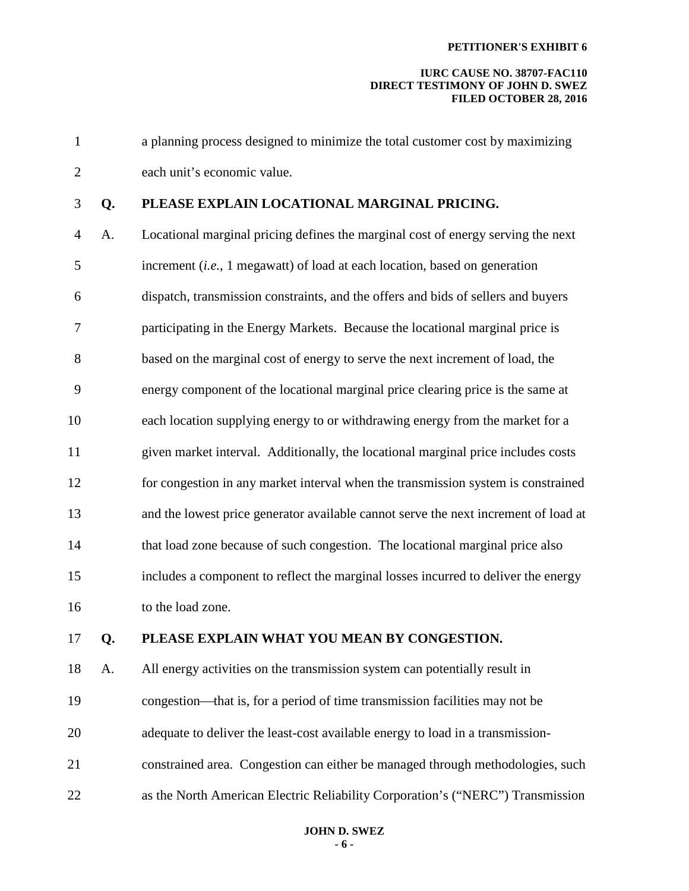#### **IURC CAUSE NO. 38707-FAC110 DIRECT TESTIMONY OF JOHN D. SWEZ FILED OCTOBER 28, 2016**

1 a planning process designed to minimize the total customer cost by maximizing 2 each unit's economic value.

# 3 **Q. PLEASE EXPLAIN LOCATIONAL MARGINAL PRICING.**

4 A. Locational marginal pricing defines the marginal cost of energy serving the next 5 increment (*i.e.*, 1 megawatt) of load at each location, based on generation 6 dispatch, transmission constraints, and the offers and bids of sellers and buyers 7 participating in the Energy Markets. Because the locational marginal price is 8 based on the marginal cost of energy to serve the next increment of load, the 9 energy component of the locational marginal price clearing price is the same at 10 each location supplying energy to or withdrawing energy from the market for a 11 given market interval. Additionally, the locational marginal price includes costs 12 for congestion in any market interval when the transmission system is constrained 13 and the lowest price generator available cannot serve the next increment of load at 14 that load zone because of such congestion. The locational marginal price also 15 includes a component to reflect the marginal losses incurred to deliver the energy 16 to the load zone.

## 17 **Q. PLEASE EXPLAIN WHAT YOU MEAN BY CONGESTION.**

18 A. All energy activities on the transmission system can potentially result in 19 congestion—that is, for a period of time transmission facilities may not be 20 adequate to deliver the least-cost available energy to load in a transmission-21 constrained area. Congestion can either be managed through methodologies, such

22 as the North American Electric Reliability Corporation's ("NERC") Transmission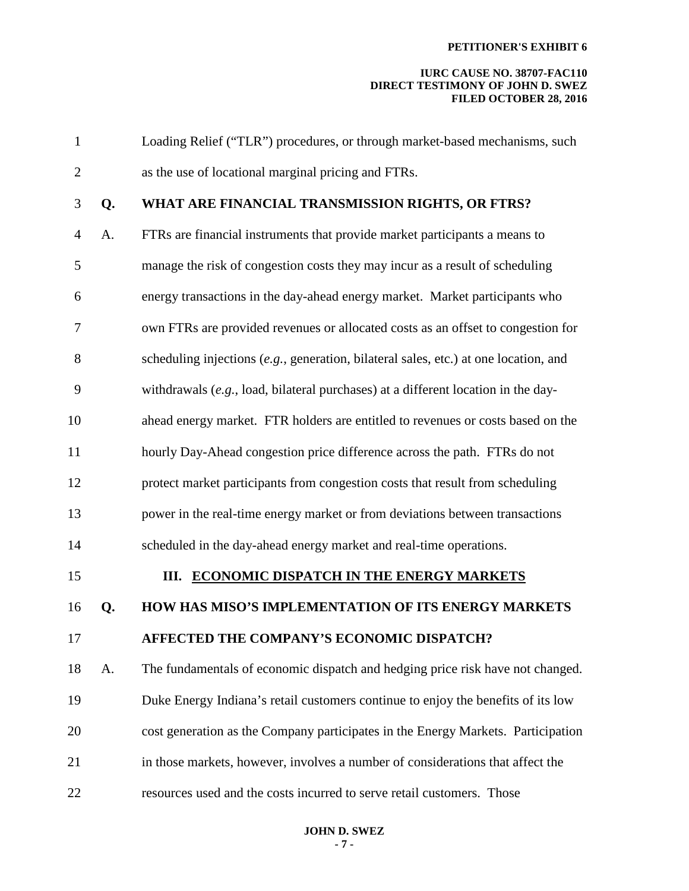| $\mathbf{1}$   |    | Loading Relief ("TLR") procedures, or through market-based mechanisms, such          |
|----------------|----|--------------------------------------------------------------------------------------|
| $\overline{2}$ |    | as the use of locational marginal pricing and FTRs.                                  |
| 3              | Q. | WHAT ARE FINANCIAL TRANSMISSION RIGHTS, OR FTRS?                                     |
| $\overline{4}$ | A. | FTRs are financial instruments that provide market participants a means to           |
| 5              |    | manage the risk of congestion costs they may incur as a result of scheduling         |
| 6              |    | energy transactions in the day-ahead energy market. Market participants who          |
| 7              |    | own FTRs are provided revenues or allocated costs as an offset to congestion for     |
| 8              |    | scheduling injections (e.g., generation, bilateral sales, etc.) at one location, and |
| 9              |    | withdrawals $(e.g., load, bilateral purchases)$ at a different location in the day-  |
| 10             |    | ahead energy market. FTR holders are entitled to revenues or costs based on the      |
| 11             |    | hourly Day-Ahead congestion price difference across the path. FTRs do not            |
| 12             |    | protect market participants from congestion costs that result from scheduling        |
| 13             |    | power in the real-time energy market or from deviations between transactions         |
| 14             |    | scheduled in the day-ahead energy market and real-time operations.                   |
| 15             |    | III. ECONOMIC DISPATCH IN THE ENERGY MARKETS                                         |
| 16             | Q. | HOW HAS MISO'S IMPLEMENTATION OF ITS ENERGY MARKETS                                  |
| 17             |    | AFFECTED THE COMPANY'S ECONOMIC DISPATCH?                                            |
| 18             | A. | The fundamentals of economic dispatch and hedging price risk have not changed.       |
| 19             |    | Duke Energy Indiana's retail customers continue to enjoy the benefits of its low     |
| 20             |    | cost generation as the Company participates in the Energy Markets. Participation     |
| 21             |    | in those markets, however, involves a number of considerations that affect the       |
| 22             |    | resources used and the costs incurred to serve retail customers. Those               |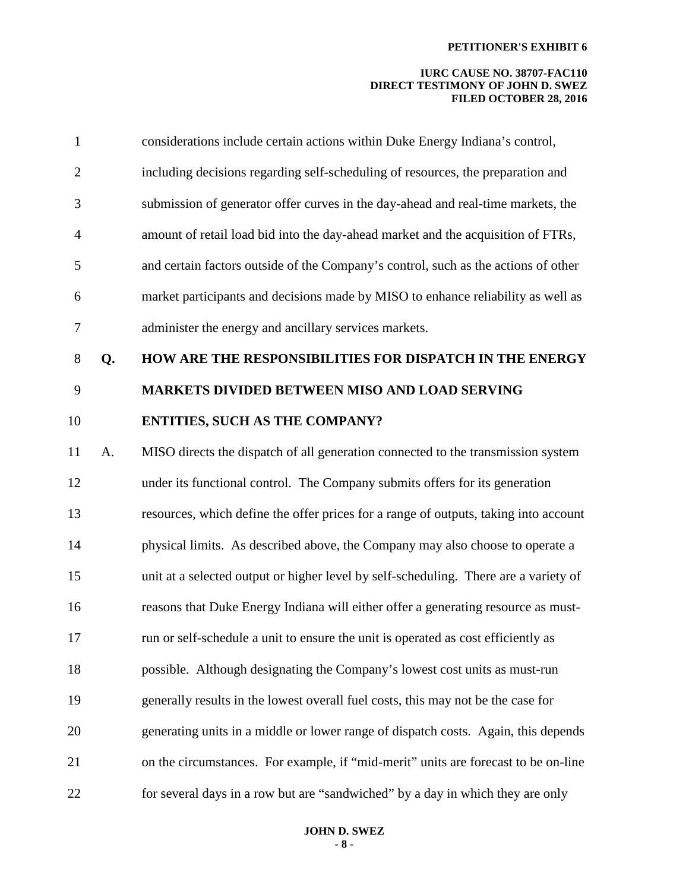| 1              |    | considerations include certain actions within Duke Energy Indiana's control,         |
|----------------|----|--------------------------------------------------------------------------------------|
| $\overline{2}$ |    | including decisions regarding self-scheduling of resources, the preparation and      |
| 3              |    | submission of generator offer curves in the day-ahead and real-time markets, the     |
| $\overline{4}$ |    | amount of retail load bid into the day-ahead market and the acquisition of FTRs,     |
| 5              |    | and certain factors outside of the Company's control, such as the actions of other   |
| 6              |    | market participants and decisions made by MISO to enhance reliability as well as     |
| $\tau$         |    | administer the energy and ancillary services markets.                                |
| 8              | Q. | HOW ARE THE RESPONSIBILITIES FOR DISPATCH IN THE ENERGY                              |
| 9              |    | <b>MARKETS DIVIDED BETWEEN MISO AND LOAD SERVING</b>                                 |
| 10             |    | <b>ENTITIES, SUCH AS THE COMPANY?</b>                                                |
| 11             | A. | MISO directs the dispatch of all generation connected to the transmission system     |
| 12             |    | under its functional control. The Company submits offers for its generation          |
| 13             |    | resources, which define the offer prices for a range of outputs, taking into account |
| 14             |    | physical limits. As described above, the Company may also choose to operate a        |
| 15             |    | unit at a selected output or higher level by self-scheduling. There are a variety of |
| 16             |    | reasons that Duke Energy Indiana will either offer a generating resource as must-    |
| 17             |    | run or self-schedule a unit to ensure the unit is operated as cost efficiently as    |
| 18             |    | possible. Although designating the Company's lowest cost units as must-run           |
| 19             |    | generally results in the lowest overall fuel costs, this may not be the case for     |
| 20             |    | generating units in a middle or lower range of dispatch costs. Again, this depends   |
| 21             |    | on the circumstances. For example, if "mid-merit" units are forecast to be on-line   |
| 22             |    | for several days in a row but are "sandwiched" by a day in which they are only       |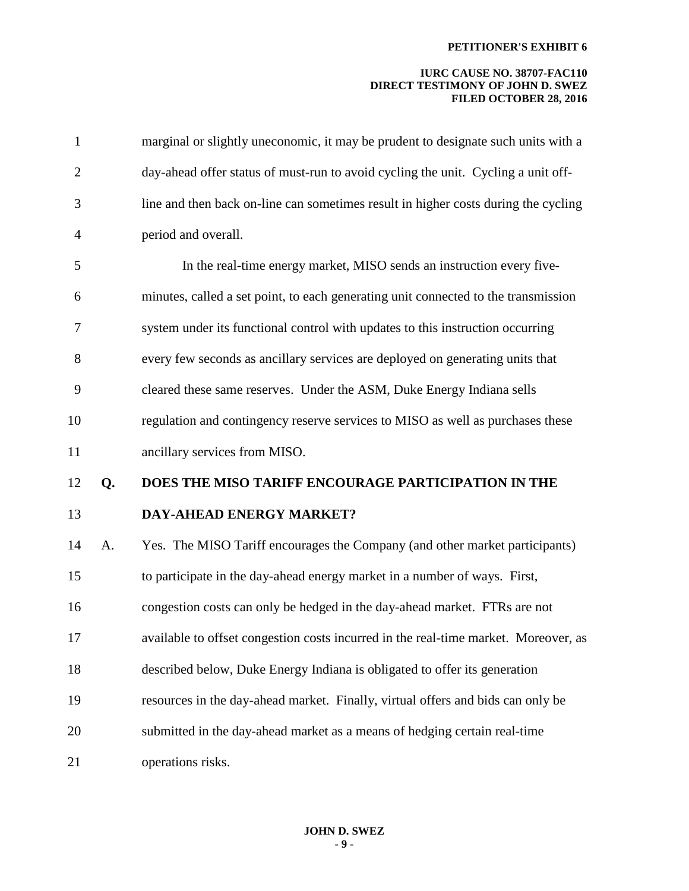| $\mathbf{1}$   |    | marginal or slightly uneconomic, it may be prudent to designate such units with a   |
|----------------|----|-------------------------------------------------------------------------------------|
| $\overline{2}$ |    | day-ahead offer status of must-run to avoid cycling the unit. Cycling a unit off-   |
| 3              |    | line and then back on-line can sometimes result in higher costs during the cycling  |
| $\overline{4}$ |    | period and overall.                                                                 |
| 5              |    | In the real-time energy market, MISO sends an instruction every five-               |
| 6              |    | minutes, called a set point, to each generating unit connected to the transmission  |
| 7              |    | system under its functional control with updates to this instruction occurring      |
| 8              |    | every few seconds as ancillary services are deployed on generating units that       |
| 9              |    | cleared these same reserves. Under the ASM, Duke Energy Indiana sells               |
| 10             |    | regulation and contingency reserve services to MISO as well as purchases these      |
| 11             |    | ancillary services from MISO.                                                       |
| 12             | Q. | DOES THE MISO TARIFF ENCOURAGE PARTICIPATION IN THE                                 |
| 13             |    | <b>DAY-AHEAD ENERGY MARKET?</b>                                                     |
| 14             | A. | Yes. The MISO Tariff encourages the Company (and other market participants)         |
| 15             |    | to participate in the day-ahead energy market in a number of ways. First,           |
| 16             |    | congestion costs can only be hedged in the day-ahead market. FTRs are not           |
| 17             |    | available to offset congestion costs incurred in the real-time market. Moreover, as |
| 18             |    | described below, Duke Energy Indiana is obligated to offer its generation           |
| 19             |    | resources in the day-ahead market. Finally, virtual offers and bids can only be     |
| 20             |    | submitted in the day-ahead market as a means of hedging certain real-time           |
| 21             |    | operations risks.                                                                   |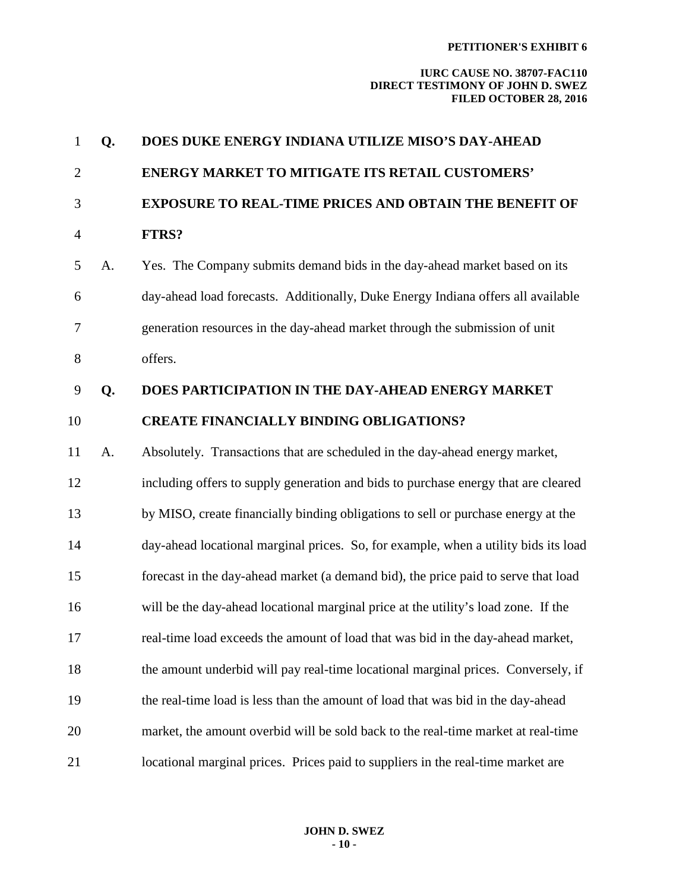| $\mathbf{1}$   | Q. | DOES DUKE ENERGY INDIANA UTILIZE MISO'S DAY-AHEAD                                   |
|----------------|----|-------------------------------------------------------------------------------------|
| $\overline{2}$ |    | <b>ENERGY MARKET TO MITIGATE ITS RETAIL CUSTOMERS'</b>                              |
| 3              |    | <b>EXPOSURE TO REAL-TIME PRICES AND OBTAIN THE BENEFIT OF</b>                       |
| $\overline{4}$ |    | FTRS?                                                                               |
| 5              | A. | Yes. The Company submits demand bids in the day-ahead market based on its           |
| 6              |    | day-ahead load forecasts. Additionally, Duke Energy Indiana offers all available    |
| 7              |    | generation resources in the day-ahead market through the submission of unit         |
| $8\,$          |    | offers.                                                                             |
| 9              | Q. | DOES PARTICIPATION IN THE DAY-AHEAD ENERGY MARKET                                   |
| 10             |    | <b>CREATE FINANCIALLY BINDING OBLIGATIONS?</b>                                      |
| 11             | A. | Absolutely. Transactions that are scheduled in the day-ahead energy market,         |
| 12             |    | including offers to supply generation and bids to purchase energy that are cleared  |
| 13             |    | by MISO, create financially binding obligations to sell or purchase energy at the   |
| 14             |    | day-ahead locational marginal prices. So, for example, when a utility bids its load |
| 15             |    | forecast in the day-ahead market (a demand bid), the price paid to serve that load  |
| 16             |    | will be the day-ahead locational marginal price at the utility's load zone. If the  |
| 17             |    | real-time load exceeds the amount of load that was bid in the day-ahead market,     |
| 18             |    | the amount underbid will pay real-time locational marginal prices. Conversely, if   |
| 19             |    | the real-time load is less than the amount of load that was bid in the day-ahead    |
| 20             |    | market, the amount overbid will be sold back to the real-time market at real-time   |
| 21             |    | locational marginal prices. Prices paid to suppliers in the real-time market are    |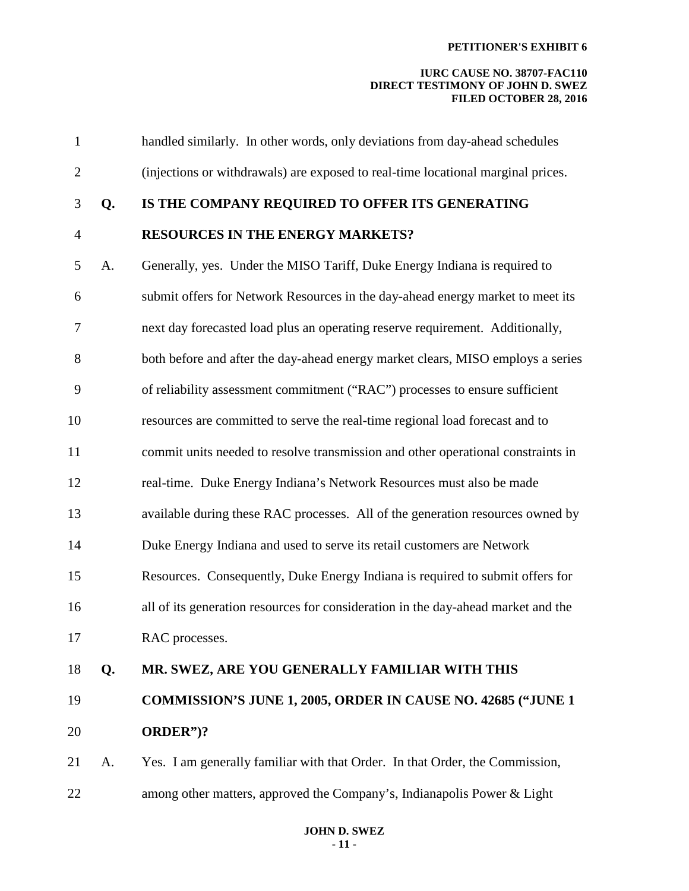| $\mathbf{1}$   |    | handled similarly. In other words, only deviations from day-ahead schedules       |
|----------------|----|-----------------------------------------------------------------------------------|
| $\overline{2}$ |    | (injections or withdrawals) are exposed to real-time locational marginal prices.  |
| 3              | Q. | IS THE COMPANY REQUIRED TO OFFER ITS GENERATING                                   |
| $\overline{4}$ |    | <b>RESOURCES IN THE ENERGY MARKETS?</b>                                           |
| 5              | A. | Generally, yes. Under the MISO Tariff, Duke Energy Indiana is required to         |
| 6              |    | submit offers for Network Resources in the day-ahead energy market to meet its    |
| 7              |    | next day forecasted load plus an operating reserve requirement. Additionally,     |
| 8              |    | both before and after the day-ahead energy market clears, MISO employs a series   |
| 9              |    | of reliability assessment commitment ("RAC") processes to ensure sufficient       |
| 10             |    | resources are committed to serve the real-time regional load forecast and to      |
| 11             |    | commit units needed to resolve transmission and other operational constraints in  |
| 12             |    | real-time. Duke Energy Indiana's Network Resources must also be made              |
| 13             |    | available during these RAC processes. All of the generation resources owned by    |
| 14             |    | Duke Energy Indiana and used to serve its retail customers are Network            |
| 15             |    | Resources. Consequently, Duke Energy Indiana is required to submit offers for     |
| 16             |    | all of its generation resources for consideration in the day-ahead market and the |
| 17             |    | RAC processes.                                                                    |
| 18             | Q. | MR. SWEZ, ARE YOU GENERALLY FAMILIAR WITH THIS                                    |
| 19             |    | COMMISSION'S JUNE 1, 2005, ORDER IN CAUSE NO. 42685 ("JUNE 1                      |
| 20             |    | ORDER")?                                                                          |
| 21             | A. | Yes. I am generally familiar with that Order. In that Order, the Commission,      |
| 22             |    | among other matters, approved the Company's, Indianapolis Power & Light           |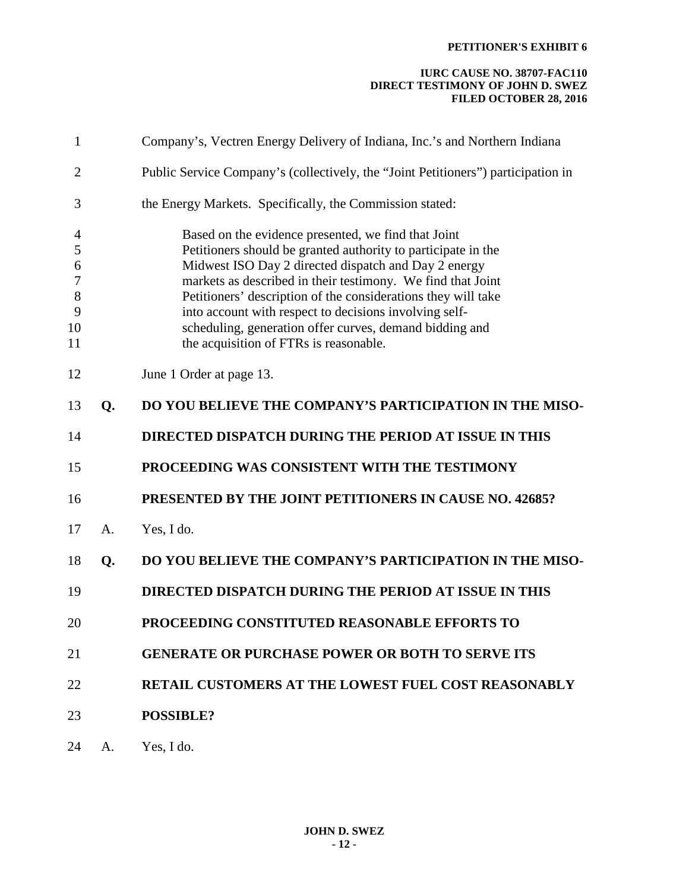| 1                                                                        |    | Company's, Vectren Energy Delivery of Indiana, Inc.'s and Northern Indiana                                                                                                                                                                                                                                                                                                                                                                                                  |
|--------------------------------------------------------------------------|----|-----------------------------------------------------------------------------------------------------------------------------------------------------------------------------------------------------------------------------------------------------------------------------------------------------------------------------------------------------------------------------------------------------------------------------------------------------------------------------|
| $\overline{2}$                                                           |    | Public Service Company's (collectively, the "Joint Petitioners") participation in                                                                                                                                                                                                                                                                                                                                                                                           |
| 3                                                                        |    | the Energy Markets. Specifically, the Commission stated:                                                                                                                                                                                                                                                                                                                                                                                                                    |
| $\overline{4}$<br>5<br>6<br>$\boldsymbol{7}$<br>$\,8\,$<br>9<br>10<br>11 |    | Based on the evidence presented, we find that Joint<br>Petitioners should be granted authority to participate in the<br>Midwest ISO Day 2 directed dispatch and Day 2 energy<br>markets as described in their testimony. We find that Joint<br>Petitioners' description of the considerations they will take<br>into account with respect to decisions involving self-<br>scheduling, generation offer curves, demand bidding and<br>the acquisition of FTRs is reasonable. |
| 12                                                                       |    | June 1 Order at page 13.                                                                                                                                                                                                                                                                                                                                                                                                                                                    |
| 13                                                                       | Q. | DO YOU BELIEVE THE COMPANY'S PARTICIPATION IN THE MISO-                                                                                                                                                                                                                                                                                                                                                                                                                     |
| 14                                                                       |    | DIRECTED DISPATCH DURING THE PERIOD AT ISSUE IN THIS                                                                                                                                                                                                                                                                                                                                                                                                                        |
| 15                                                                       |    | PROCEEDING WAS CONSISTENT WITH THE TESTIMONY                                                                                                                                                                                                                                                                                                                                                                                                                                |
| 16                                                                       |    | PRESENTED BY THE JOINT PETITIONERS IN CAUSE NO. 42685?                                                                                                                                                                                                                                                                                                                                                                                                                      |
| 17                                                                       | A. | Yes, I do.                                                                                                                                                                                                                                                                                                                                                                                                                                                                  |
| 18                                                                       | Q. | DO YOU BELIEVE THE COMPANY'S PARTICIPATION IN THE MISO-                                                                                                                                                                                                                                                                                                                                                                                                                     |
| 19                                                                       |    | DIRECTED DISPATCH DURING THE PERIOD AT ISSUE IN THIS                                                                                                                                                                                                                                                                                                                                                                                                                        |
| 20                                                                       |    | PROCEEDING CONSTITUTED REASONABLE EFFORTS TO                                                                                                                                                                                                                                                                                                                                                                                                                                |
| 21                                                                       |    | <b>GENERATE OR PURCHASE POWER OR BOTH TO SERVE ITS</b>                                                                                                                                                                                                                                                                                                                                                                                                                      |
| 22                                                                       |    | <b>RETAIL CUSTOMERS AT THE LOWEST FUEL COST REASONABLY</b>                                                                                                                                                                                                                                                                                                                                                                                                                  |
| 23                                                                       |    | <b>POSSIBLE?</b>                                                                                                                                                                                                                                                                                                                                                                                                                                                            |
| 24                                                                       | A. | Yes, I do.                                                                                                                                                                                                                                                                                                                                                                                                                                                                  |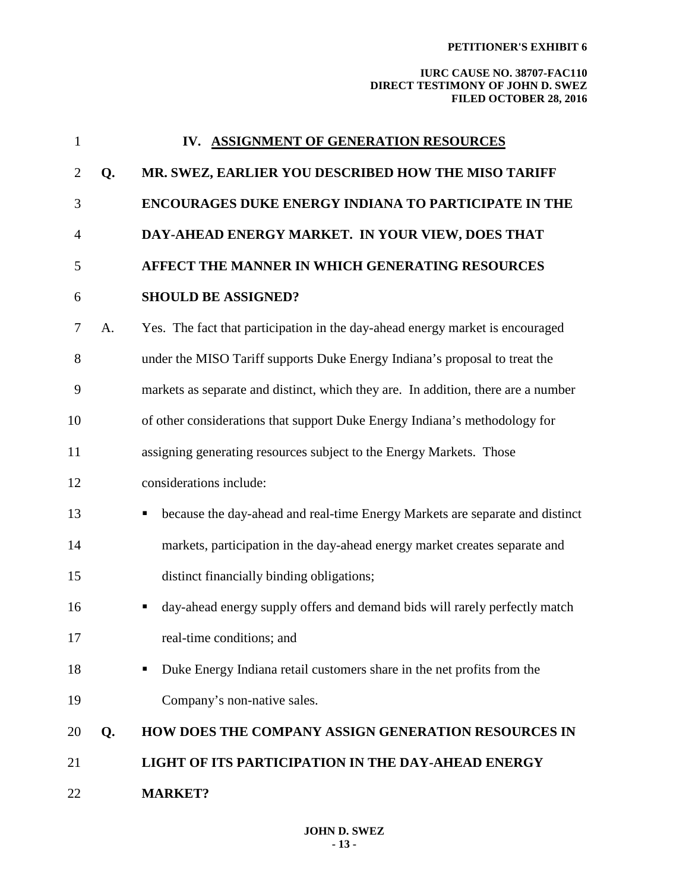| $\mathbf{1}$   |    | IV. ASSIGNMENT OF GENERATION RESOURCES                                            |
|----------------|----|-----------------------------------------------------------------------------------|
| $\overline{2}$ | Q. | MR. SWEZ, EARLIER YOU DESCRIBED HOW THE MISO TARIFF                               |
| 3              |    | <b>ENCOURAGES DUKE ENERGY INDIANA TO PARTICIPATE IN THE</b>                       |
| $\overline{4}$ |    | DAY-AHEAD ENERGY MARKET. IN YOUR VIEW, DOES THAT                                  |
| 5              |    | AFFECT THE MANNER IN WHICH GENERATING RESOURCES                                   |
| 6              |    | <b>SHOULD BE ASSIGNED?</b>                                                        |
| 7              | A. | Yes. The fact that participation in the day-ahead energy market is encouraged     |
| 8              |    | under the MISO Tariff supports Duke Energy Indiana's proposal to treat the        |
| 9              |    | markets as separate and distinct, which they are. In addition, there are a number |
| 10             |    | of other considerations that support Duke Energy Indiana's methodology for        |
| 11             |    | assigning generating resources subject to the Energy Markets. Those               |
| 12             |    | considerations include:                                                           |
| 13             |    | because the day-ahead and real-time Energy Markets are separate and distinct      |
| 14             |    | markets, participation in the day-ahead energy market creates separate and        |
| 15             |    | distinct financially binding obligations;                                         |
| 16             |    | day-ahead energy supply offers and demand bids will rarely perfectly match<br>ш   |
| 17             |    | real-time conditions; and                                                         |
| 18             |    | Duke Energy Indiana retail customers share in the net profits from the            |
| 19             |    | Company's non-native sales.                                                       |
| 20             | Q. | HOW DOES THE COMPANY ASSIGN GENERATION RESOURCES IN                               |
| 21             |    | LIGHT OF ITS PARTICIPATION IN THE DAY-AHEAD ENERGY                                |
| 22             |    | <b>MARKET?</b>                                                                    |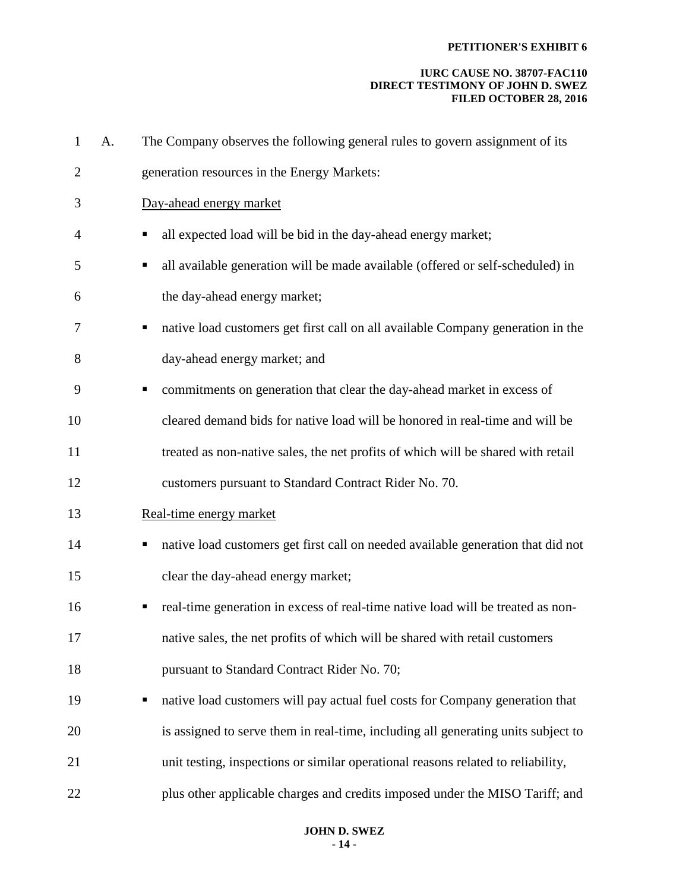| $\mathbf{1}$   | A. | The Company observes the following general rules to govern assignment of its          |
|----------------|----|---------------------------------------------------------------------------------------|
| $\overline{2}$ |    | generation resources in the Energy Markets:                                           |
| 3              |    | Day-ahead energy market                                                               |
| 4              |    | all expected load will be bid in the day-ahead energy market;<br>п                    |
| 5              |    | all available generation will be made available (offered or self-scheduled) in<br>ш   |
| 6              |    | the day-ahead energy market;                                                          |
| 7              |    | native load customers get first call on all available Company generation in the<br>п  |
| 8              |    | day-ahead energy market; and                                                          |
| 9              |    | commitments on generation that clear the day-ahead market in excess of<br>ш           |
| 10             |    | cleared demand bids for native load will be honored in real-time and will be          |
| 11             |    | treated as non-native sales, the net profits of which will be shared with retail      |
| 12             |    | customers pursuant to Standard Contract Rider No. 70.                                 |
| 13             |    | Real-time energy market                                                               |
| 14             |    | native load customers get first call on needed available generation that did not<br>Г |
| 15             |    | clear the day-ahead energy market;                                                    |
| 16             |    | real-time generation in excess of real-time native load will be treated as non-       |
| 17             |    | native sales, the net profits of which will be shared with retail customers           |
| 18             |    | pursuant to Standard Contract Rider No. 70;                                           |
| 19             |    | native load customers will pay actual fuel costs for Company generation that<br>п     |
| 20             |    | is assigned to serve them in real-time, including all generating units subject to     |
| 21             |    | unit testing, inspections or similar operational reasons related to reliability,      |
| 22             |    | plus other applicable charges and credits imposed under the MISO Tariff; and          |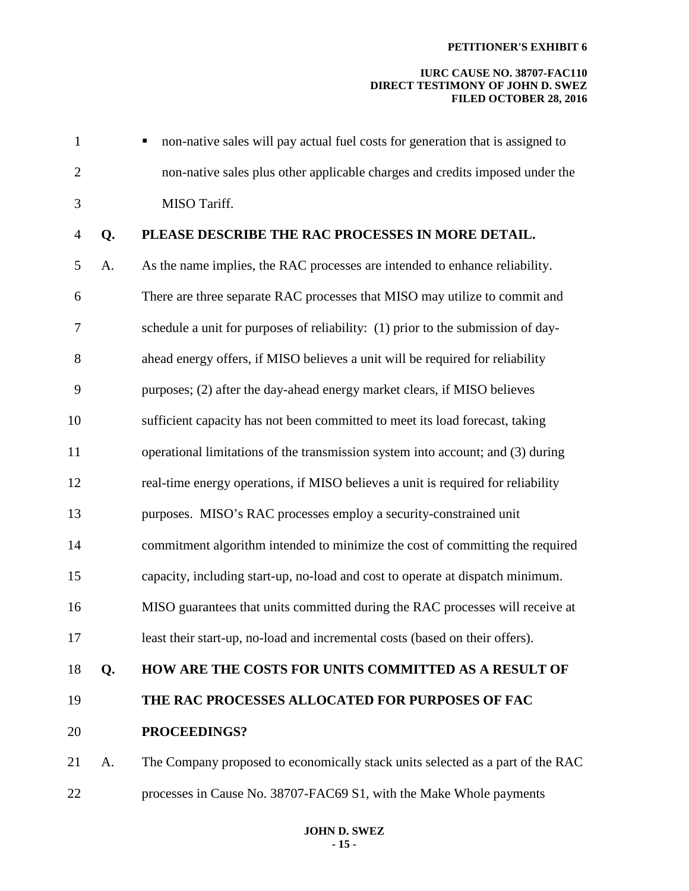| $\mathbf{1}$   |    | non-native sales will pay actual fuel costs for generation that is assigned to   |
|----------------|----|----------------------------------------------------------------------------------|
| $\overline{2}$ |    | non-native sales plus other applicable charges and credits imposed under the     |
| 3              |    | MISO Tariff.                                                                     |
| $\overline{4}$ | Q. | PLEASE DESCRIBE THE RAC PROCESSES IN MORE DETAIL.                                |
| 5              | A. | As the name implies, the RAC processes are intended to enhance reliability.      |
| 6              |    | There are three separate RAC processes that MISO may utilize to commit and       |
| $\overline{7}$ |    | schedule a unit for purposes of reliability: (1) prior to the submission of day- |
| 8              |    | ahead energy offers, if MISO believes a unit will be required for reliability    |
| 9              |    | purposes; (2) after the day-ahead energy market clears, if MISO believes         |
| 10             |    | sufficient capacity has not been committed to meet its load forecast, taking     |
| 11             |    | operational limitations of the transmission system into account; and (3) during  |
| 12             |    | real-time energy operations, if MISO believes a unit is required for reliability |
| 13             |    | purposes. MISO's RAC processes employ a security-constrained unit                |
| 14             |    | commitment algorithm intended to minimize the cost of committing the required    |
| 15             |    | capacity, including start-up, no-load and cost to operate at dispatch minimum.   |
| 16             |    | MISO guarantees that units committed during the RAC processes will receive at    |
| 17             |    | least their start-up, no-load and incremental costs (based on their offers).     |
| 18             | Q. | HOW ARE THE COSTS FOR UNITS COMMITTED AS A RESULT OF                             |
| 19             |    | THE RAC PROCESSES ALLOCATED FOR PURPOSES OF FAC                                  |
| 20             |    | PROCEEDINGS?                                                                     |
| 21             | A. | The Company proposed to economically stack units selected as a part of the RAC   |
| 22             |    | processes in Cause No. 38707-FAC69 S1, with the Make Whole payments              |
|                |    |                                                                                  |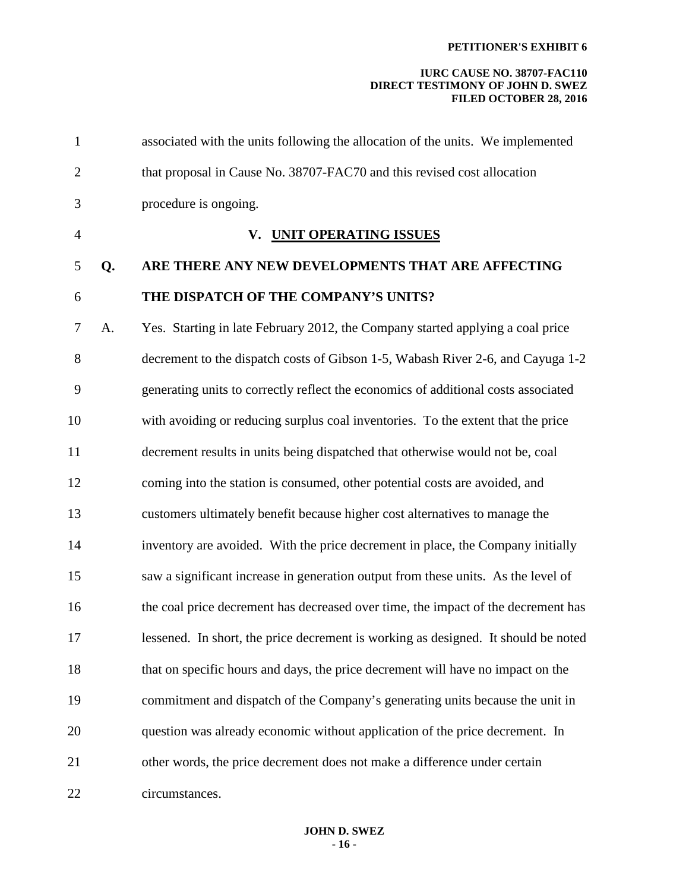| $\mathbf{1}$   |    | associated with the units following the allocation of the units. We implemented    |
|----------------|----|------------------------------------------------------------------------------------|
| $\overline{2}$ |    | that proposal in Cause No. 38707-FAC70 and this revised cost allocation            |
| 3              |    | procedure is ongoing.                                                              |
| $\overline{4}$ |    | V. UNIT OPERATING ISSUES                                                           |
| 5              | Q. | ARE THERE ANY NEW DEVELOPMENTS THAT ARE AFFECTING                                  |
| 6              |    | THE DISPATCH OF THE COMPANY'S UNITS?                                               |
| $\overline{7}$ | A. | Yes. Starting in late February 2012, the Company started applying a coal price     |
| 8              |    | decrement to the dispatch costs of Gibson 1-5, Wabash River 2-6, and Cayuga 1-2    |
| 9              |    | generating units to correctly reflect the economics of additional costs associated |
| 10             |    | with avoiding or reducing surplus coal inventories. To the extent that the price   |
| 11             |    | decrement results in units being dispatched that otherwise would not be, coal      |
| 12             |    | coming into the station is consumed, other potential costs are avoided, and        |
| 13             |    | customers ultimately benefit because higher cost alternatives to manage the        |
| 14             |    | inventory are avoided. With the price decrement in place, the Company initially    |
| 15             |    | saw a significant increase in generation output from these units. As the level of  |
| 16             |    | the coal price decrement has decreased over time, the impact of the decrement has  |
| 17             |    | lessened. In short, the price decrement is working as designed. It should be noted |
| 18             |    | that on specific hours and days, the price decrement will have no impact on the    |
| 19             |    | commitment and dispatch of the Company's generating units because the unit in      |
| 20             |    | question was already economic without application of the price decrement. In       |
| 21             |    | other words, the price decrement does not make a difference under certain          |
| 22             |    | circumstances.                                                                     |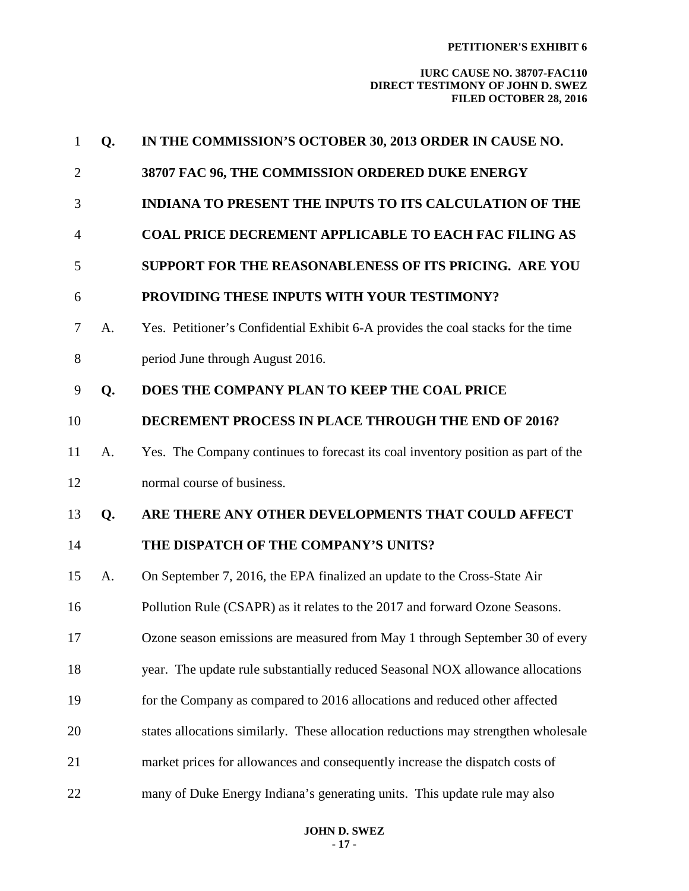| $\mathbf{1}$   | Q. | IN THE COMMISSION'S OCTOBER 30, 2013 ORDER IN CAUSE NO.                            |
|----------------|----|------------------------------------------------------------------------------------|
| $\overline{2}$ |    | 38707 FAC 96, THE COMMISSION ORDERED DUKE ENERGY                                   |
| 3              |    | <b>INDIANA TO PRESENT THE INPUTS TO ITS CALCULATION OF THE</b>                     |
| 4              |    | <b>COAL PRICE DECREMENT APPLICABLE TO EACH FAC FILING AS</b>                       |
| 5              |    | SUPPORT FOR THE REASONABLENESS OF ITS PRICING. ARE YOU                             |
| 6              |    | PROVIDING THESE INPUTS WITH YOUR TESTIMONY?                                        |
| 7              | A. | Yes. Petitioner's Confidential Exhibit 6-A provides the coal stacks for the time   |
| 8              |    | period June through August 2016.                                                   |
| 9              | Q. | DOES THE COMPANY PLAN TO KEEP THE COAL PRICE                                       |
| 10             |    | DECREMENT PROCESS IN PLACE THROUGH THE END OF 2016?                                |
| 11             | A. | Yes. The Company continues to forecast its coal inventory position as part of the  |
| 12             |    | normal course of business.                                                         |
| 13             | Q. | ARE THERE ANY OTHER DEVELOPMENTS THAT COULD AFFECT                                 |
| 14             |    | THE DISPATCH OF THE COMPANY'S UNITS?                                               |
| 15             | A. | On September 7, 2016, the EPA finalized an update to the Cross-State Air           |
| 16             |    | Pollution Rule (CSAPR) as it relates to the 2017 and forward Ozone Seasons.        |
| 17             |    | Ozone season emissions are measured from May 1 through September 30 of every       |
| 18             |    | year. The update rule substantially reduced Seasonal NOX allowance allocations     |
| 19             |    | for the Company as compared to 2016 allocations and reduced other affected         |
| 20             |    | states allocations similarly. These allocation reductions may strengthen wholesale |
| 21             |    | market prices for allowances and consequently increase the dispatch costs of       |
| 22             |    | many of Duke Energy Indiana's generating units. This update rule may also          |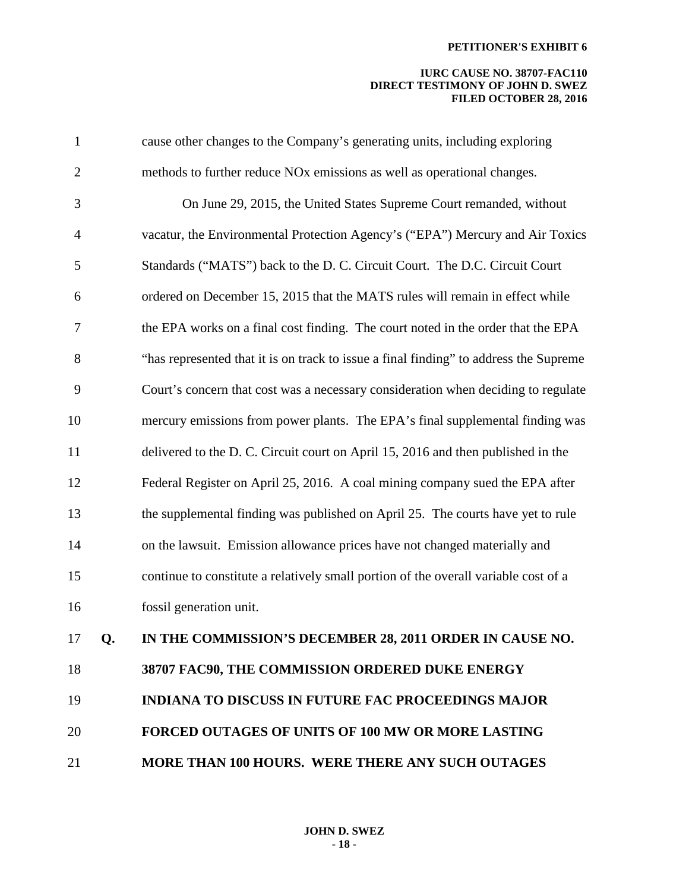| $\mathbf{1}$   |    | cause other changes to the Company's generating units, including exploring            |
|----------------|----|---------------------------------------------------------------------------------------|
| $\overline{2}$ |    | methods to further reduce NOx emissions as well as operational changes.               |
| 3              |    | On June 29, 2015, the United States Supreme Court remanded, without                   |
| $\overline{4}$ |    | vacatur, the Environmental Protection Agency's ("EPA") Mercury and Air Toxics         |
| 5              |    | Standards ("MATS") back to the D. C. Circuit Court. The D.C. Circuit Court            |
| 6              |    | ordered on December 15, 2015 that the MATS rules will remain in effect while          |
| 7              |    | the EPA works on a final cost finding. The court noted in the order that the EPA      |
| 8              |    | "has represented that it is on track to issue a final finding" to address the Supreme |
| 9              |    | Court's concern that cost was a necessary consideration when deciding to regulate     |
| 10             |    | mercury emissions from power plants. The EPA's final supplemental finding was         |
| 11             |    | delivered to the D. C. Circuit court on April 15, 2016 and then published in the      |
| 12             |    | Federal Register on April 25, 2016. A coal mining company sued the EPA after          |
| 13             |    | the supplemental finding was published on April 25. The courts have yet to rule       |
| 14             |    | on the lawsuit. Emission allowance prices have not changed materially and             |
| 15             |    | continue to constitute a relatively small portion of the overall variable cost of a   |
| 16             |    | fossil generation unit.                                                               |
| 17             | Q. | IN THE COMMISSION'S DECEMBER 28, 2011 ORDER IN CAUSE NO.                              |
| 18             |    | 38707 FAC90, THE COMMISSION ORDERED DUKE ENERGY                                       |
| 19             |    | <b>INDIANA TO DISCUSS IN FUTURE FAC PROCEEDINGS MAJOR</b>                             |
| 20             |    | <b>FORCED OUTAGES OF UNITS OF 100 MW OR MORE LASTING</b>                              |
| 21             |    | MORE THAN 100 HOURS. WERE THERE ANY SUCH OUTAGES                                      |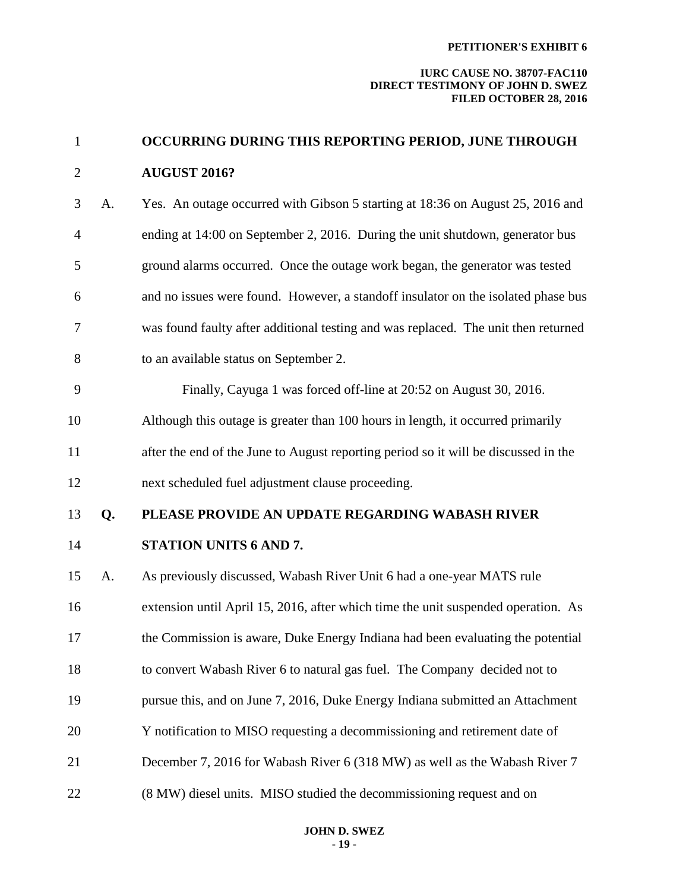| $\mathbf{1}$   |    | OCCURRING DURING THIS REPORTING PERIOD, JUNE THROUGH                                |
|----------------|----|-------------------------------------------------------------------------------------|
| $\overline{2}$ |    | <b>AUGUST 2016?</b>                                                                 |
| 3              | A. | Yes. An outage occurred with Gibson 5 starting at 18:36 on August 25, 2016 and      |
| $\overline{4}$ |    | ending at 14:00 on September 2, 2016. During the unit shutdown, generator bus       |
| 5              |    | ground alarms occurred. Once the outage work began, the generator was tested        |
| 6              |    | and no issues were found. However, a standoff insulator on the isolated phase bus   |
| 7              |    | was found faulty after additional testing and was replaced. The unit then returned  |
| 8              |    | to an available status on September 2.                                              |
| 9              |    | Finally, Cayuga 1 was forced off-line at 20:52 on August 30, 2016.                  |
| 10             |    | Although this outage is greater than 100 hours in length, it occurred primarily     |
| 11             |    | after the end of the June to August reporting period so it will be discussed in the |
| 12             |    | next scheduled fuel adjustment clause proceeding.                                   |
| 13             | Q. | PLEASE PROVIDE AN UPDATE REGARDING WABASH RIVER                                     |
| 14             |    | STATION UNITS 6 AND 7.                                                              |
| 15             | A. | As previously discussed, Wabash River Unit 6 had a one-year MATS rule               |
| 16             |    | extension until April 15, 2016, after which time the unit suspended operation. As   |
| 17             |    | the Commission is aware, Duke Energy Indiana had been evaluating the potential      |
| 18             |    | to convert Wabash River 6 to natural gas fuel. The Company decided not to           |
| 19             |    | pursue this, and on June 7, 2016, Duke Energy Indiana submitted an Attachment       |
| 20             |    | Y notification to MISO requesting a decommissioning and retirement date of          |
| 21             |    | December 7, 2016 for Wabash River 6 (318 MW) as well as the Wabash River 7          |
| 22             |    | (8 MW) diesel units. MISO studied the decommissioning request and on                |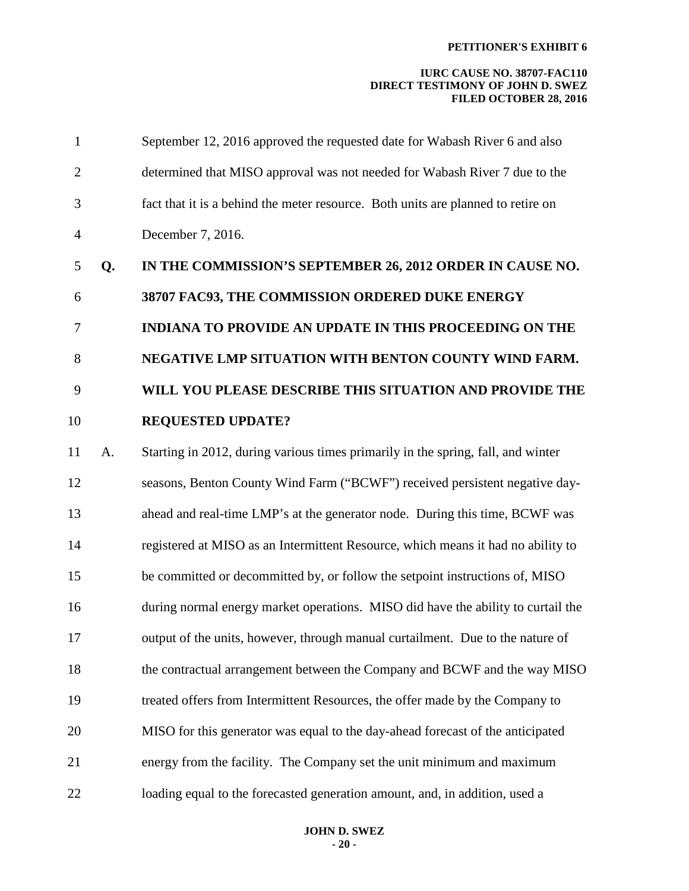| $\mathbf{1}$ |    | September 12, 2016 approved the requested date for Wabash River 6 and also       |
|--------------|----|----------------------------------------------------------------------------------|
| $\mathbf{2}$ |    | determined that MISO approval was not needed for Wabash River 7 due to the       |
| 3            |    | fact that it is a behind the meter resource. Both units are planned to retire on |
| 4            |    | December 7, 2016.                                                                |
| 5            | Q. | IN THE COMMISSION'S SEPTEMBER 26, 2012 ORDER IN CAUSE NO.                        |
| 6            |    | 38707 FAC93, THE COMMISSION ORDERED DUKE ENERGY                                  |
| 7            |    | <b>INDIANA TO PROVIDE AN UPDATE IN THIS PROCEEDING ON THE</b>                    |
| 8            |    | NEGATIVE LMP SITUATION WITH BENTON COUNTY WIND FARM.                             |
| 9            |    | WILL YOU PLEASE DESCRIBE THIS SITUATION AND PROVIDE THE                          |
| 10           |    | <b>REQUESTED UPDATE?</b>                                                         |
| 11           | A. | Starting in 2012, during various times primarily in the spring, fall, and winter |
| 12           |    | seasons, Benton County Wind Farm ("BCWF") received persistent negative day-      |
| 13           |    | ahead and real-time LMP's at the generator node. During this time, BCWF was      |
| 14           |    | registered at MISO as an Intermittent Resource, which means it had no ability to |
| 15           |    | be committed or decommitted by, or follow the setpoint instructions of, MISO     |
| 16           |    | during normal energy market operations. MISO did have the ability to curtail the |
| 17           |    | output of the units, however, through manual curtailment. Due to the nature of   |
| 18           |    | the contractual arrangement between the Company and BCWF and the way MISO        |
| 19           |    | treated offers from Intermittent Resources, the offer made by the Company to     |
| 20           |    | MISO for this generator was equal to the day-ahead forecast of the anticipated   |
| 21           |    | energy from the facility. The Company set the unit minimum and maximum           |
| 22           |    | loading equal to the forecasted generation amount, and, in addition, used a      |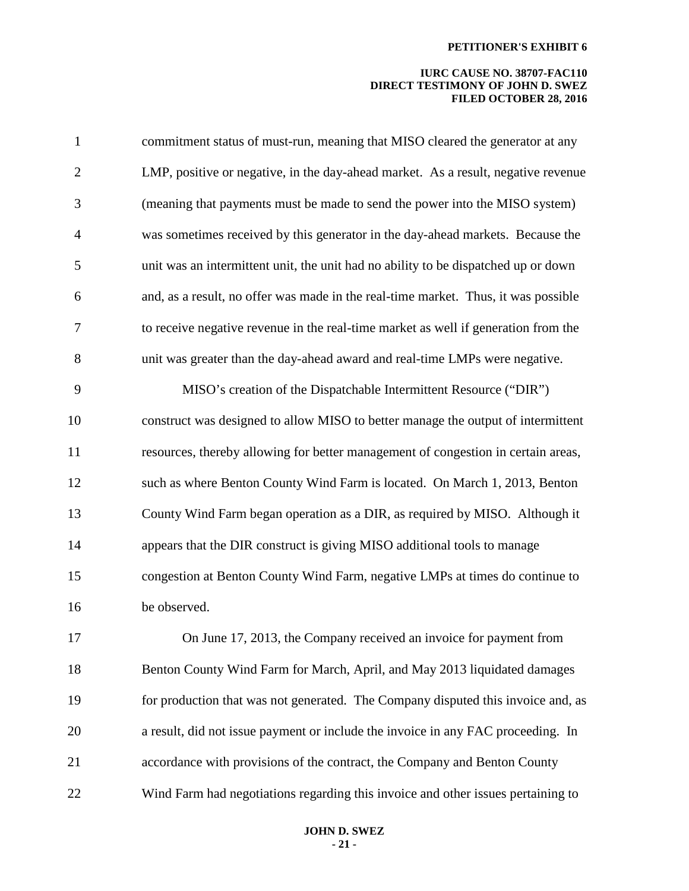| $\mathbf{1}$   | commitment status of must-run, meaning that MISO cleared the generator at any      |
|----------------|------------------------------------------------------------------------------------|
| $\mathbf{2}$   | LMP, positive or negative, in the day-ahead market. As a result, negative revenue  |
| 3              | (meaning that payments must be made to send the power into the MISO system)        |
| $\overline{4}$ | was sometimes received by this generator in the day-ahead markets. Because the     |
| 5              | unit was an intermittent unit, the unit had no ability to be dispatched up or down |
| 6              | and, as a result, no offer was made in the real-time market. Thus, it was possible |
| $\tau$         | to receive negative revenue in the real-time market as well if generation from the |
| 8              | unit was greater than the day-ahead award and real-time LMPs were negative.        |
| 9              | MISO's creation of the Dispatchable Intermittent Resource ("DIR")                  |
| 10             | construct was designed to allow MISO to better manage the output of intermittent   |
| 11             | resources, thereby allowing for better management of congestion in certain areas,  |
| 12             | such as where Benton County Wind Farm is located. On March 1, 2013, Benton         |
| 13             | County Wind Farm began operation as a DIR, as required by MISO. Although it        |
| 14             | appears that the DIR construct is giving MISO additional tools to manage           |
| 15             | congestion at Benton County Wind Farm, negative LMPs at times do continue to       |
| 16             | be observed.                                                                       |
| 17             | On June 17, 2013, the Company received an invoice for payment from                 |
| 18             | Benton County Wind Farm for March, April, and May 2013 liquidated damages          |
| 19             | for production that was not generated. The Company disputed this invoice and, as   |
| 20             | a result, did not issue payment or include the invoice in any FAC proceeding. In   |
| 21             | accordance with provisions of the contract, the Company and Benton County          |
| 22             | Wind Farm had negotiations regarding this invoice and other issues pertaining to   |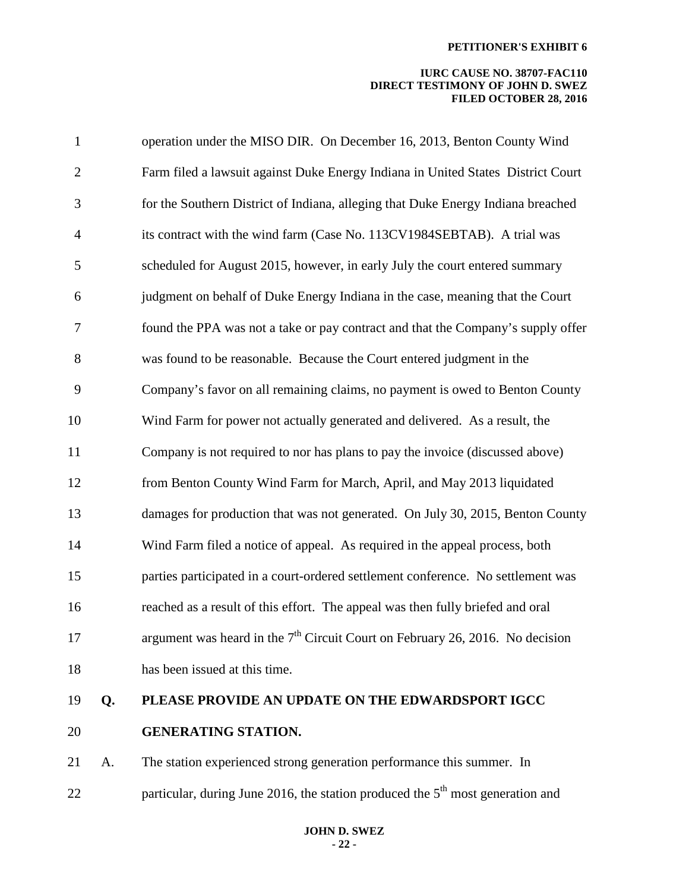## **IURC CAUSE NO. 38707-FAC110 DIRECT TESTIMONY OF JOHN D. SWEZ FILED OCTOBER 28, 2016**

| 19             | Q. | PLEASE PROVIDE AN UPDATE ON THE EDWARDSPORT IGCC                                 |
|----------------|----|----------------------------------------------------------------------------------|
| 18             |    | has been issued at this time.                                                    |
| 17             |    | argument was heard in the $7th$ Circuit Court on February 26, 2016. No decision  |
| 16             |    | reached as a result of this effort. The appeal was then fully briefed and oral   |
| 15             |    | parties participated in a court-ordered settlement conference. No settlement was |
| 14             |    | Wind Farm filed a notice of appeal. As required in the appeal process, both      |
| 13             |    | damages for production that was not generated. On July 30, 2015, Benton County   |
| 12             |    | from Benton County Wind Farm for March, April, and May 2013 liquidated           |
| 11             |    | Company is not required to nor has plans to pay the invoice (discussed above)    |
| 10             |    | Wind Farm for power not actually generated and delivered. As a result, the       |
| 9              |    | Company's favor on all remaining claims, no payment is owed to Benton County     |
| 8              |    | was found to be reasonable. Because the Court entered judgment in the            |
| 7              |    | found the PPA was not a take or pay contract and that the Company's supply offer |
| 6              |    | judgment on behalf of Duke Energy Indiana in the case, meaning that the Court    |
| 5              |    | scheduled for August 2015, however, in early July the court entered summary      |
| $\overline{4}$ |    | its contract with the wind farm (Case No. 113CV1984SEBTAB). A trial was          |
| 3              |    | for the Southern District of Indiana, alleging that Duke Energy Indiana breached |
| $\mathbf{2}$   |    | Farm filed a lawsuit against Duke Energy Indiana in United States District Court |
| $\mathbf{1}$   |    | operation under the MISO DIR. On December 16, 2013, Benton County Wind           |

20 **GENERATING STATION.** 

21 A. The station experienced strong generation performance this summer. In 22 particular, during June 2016, the station produced the  $5<sup>th</sup>$  most generation and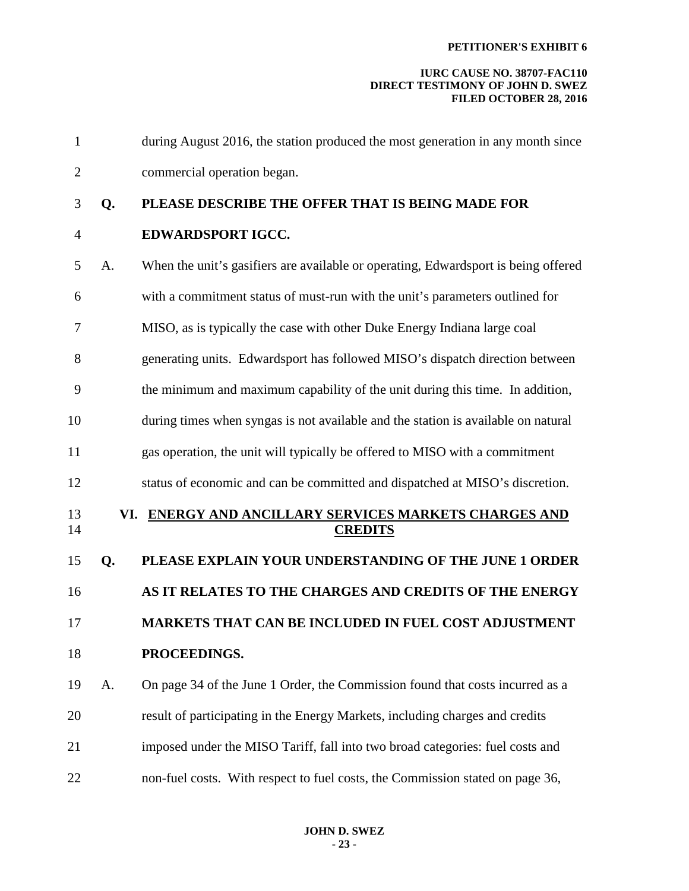| $\mathbf{1}$   |    | during August 2016, the station produced the most generation in any month since    |
|----------------|----|------------------------------------------------------------------------------------|
| $\overline{2}$ |    | commercial operation began.                                                        |
| 3              | Q. | PLEASE DESCRIBE THE OFFER THAT IS BEING MADE FOR                                   |
| $\overline{4}$ |    | EDWARDSPORT IGCC.                                                                  |
| 5              | A. | When the unit's gasifiers are available or operating, Edwardsport is being offered |
| 6              |    | with a commitment status of must-run with the unit's parameters outlined for       |
| 7              |    | MISO, as is typically the case with other Duke Energy Indiana large coal           |
| 8              |    | generating units. Edwardsport has followed MISO's dispatch direction between       |
| 9              |    | the minimum and maximum capability of the unit during this time. In addition,      |
| 10             |    | during times when syngas is not available and the station is available on natural  |
| 11             |    | gas operation, the unit will typically be offered to MISO with a commitment        |
| 12             |    | status of economic and can be committed and dispatched at MISO's discretion.       |
| 13<br>14       |    | VI. ENERGY AND ANCILLARY SERVICES MARKETS CHARGES AND<br><b>CREDITS</b>            |
| 15             | Q. | PLEASE EXPLAIN YOUR UNDERSTANDING OF THE JUNE 1 ORDER                              |
| 16             |    | AS IT RELATES TO THE CHARGES AND CREDITS OF THE ENERGY                             |
| 17             |    | <b>MARKETS THAT CAN BE INCLUDED IN FUEL COST ADJUSTMENT</b>                        |
| 18             |    | PROCEEDINGS.                                                                       |
| 19             | A. | On page 34 of the June 1 Order, the Commission found that costs incurred as a      |
| 20             |    | result of participating in the Energy Markets, including charges and credits       |
| 21             |    | imposed under the MISO Tariff, fall into two broad categories: fuel costs and      |
| 22             |    | non-fuel costs. With respect to fuel costs, the Commission stated on page 36,      |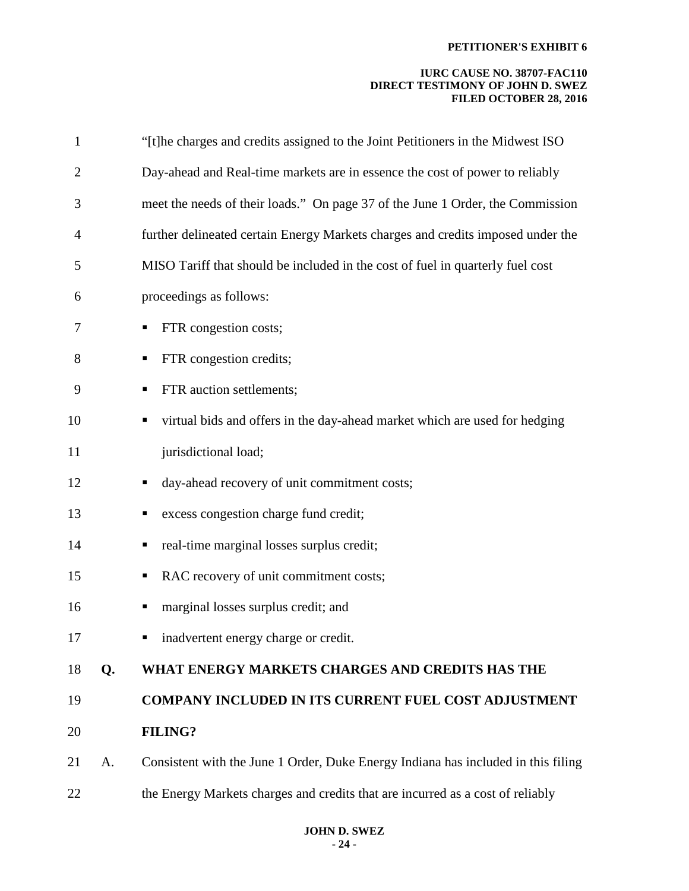| $\mathbf{1}$   |    | "[t]he charges and credits assigned to the Joint Petitioners in the Midwest ISO   |
|----------------|----|-----------------------------------------------------------------------------------|
| $\overline{2}$ |    | Day-ahead and Real-time markets are in essence the cost of power to reliably      |
| 3              |    | meet the needs of their loads." On page 37 of the June 1 Order, the Commission    |
| 4              |    | further delineated certain Energy Markets charges and credits imposed under the   |
| 5              |    | MISO Tariff that should be included in the cost of fuel in quarterly fuel cost    |
| 6              |    | proceedings as follows:                                                           |
| 7              |    | FTR congestion costs;<br>п                                                        |
| 8              |    | FTR congestion credits;                                                           |
| 9              |    | FTR auction settlements;                                                          |
| 10             |    | virtual bids and offers in the day-ahead market which are used for hedging<br>п   |
| 11             |    | jurisdictional load;                                                              |
| 12             |    | day-ahead recovery of unit commitment costs;<br>п                                 |
| 13             |    | excess congestion charge fund credit;                                             |
| 14             |    | real-time marginal losses surplus credit;<br>п                                    |
| 15             |    | RAC recovery of unit commitment costs;                                            |
| 16             |    | marginal losses surplus credit; and<br>п                                          |
| 17             |    | inadvertent energy charge or credit.                                              |
| 18             | Q. | WHAT ENERGY MARKETS CHARGES AND CREDITS HAS THE                                   |
| 19             |    | <b>COMPANY INCLUDED IN ITS CURRENT FUEL COST ADJUSTMENT</b>                       |
| 20             |    | <b>FILING?</b>                                                                    |
| 21             | A. | Consistent with the June 1 Order, Duke Energy Indiana has included in this filing |
| 22             |    | the Energy Markets charges and credits that are incurred as a cost of reliably    |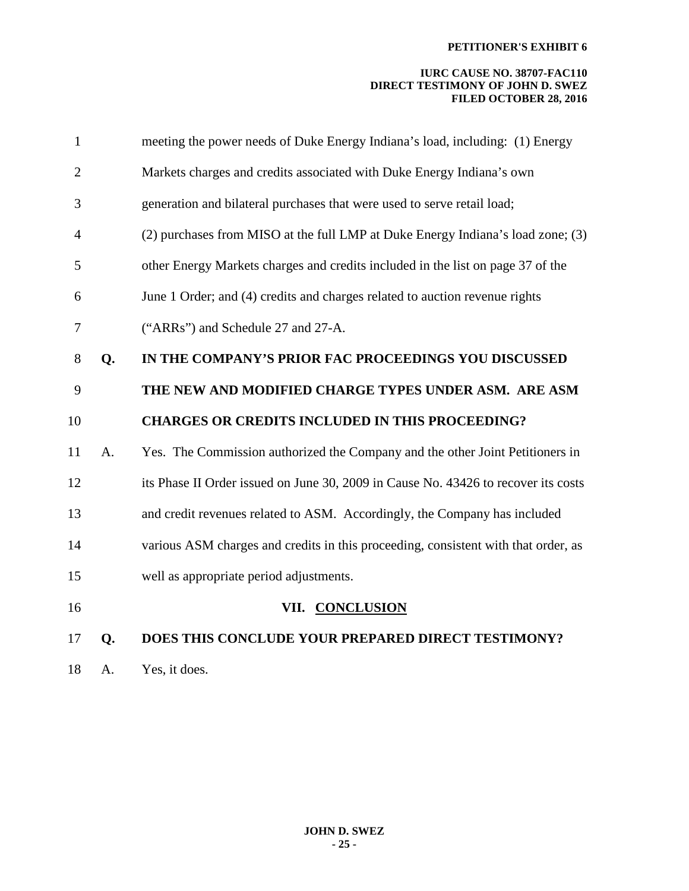## **IURC CAUSE NO. 38707-FAC110 DIRECT TESTIMONY OF JOHN D. SWEZ FILED OCTOBER 28, 2016**

| $\mathbf{1}$   |    | meeting the power needs of Duke Energy Indiana's load, including: (1) Energy       |
|----------------|----|------------------------------------------------------------------------------------|
| $\overline{2}$ |    | Markets charges and credits associated with Duke Energy Indiana's own              |
| 3              |    | generation and bilateral purchases that were used to serve retail load;            |
| $\overline{4}$ |    | (2) purchases from MISO at the full LMP at Duke Energy Indiana's load zone; (3)    |
| 5              |    | other Energy Markets charges and credits included in the list on page 37 of the    |
| 6              |    | June 1 Order; and (4) credits and charges related to auction revenue rights        |
| 7              |    | ("ARRs") and Schedule 27 and 27-A.                                                 |
| 8              | Q. | IN THE COMPANY'S PRIOR FAC PROCEEDINGS YOU DISCUSSED                               |
| 9              |    | THE NEW AND MODIFIED CHARGE TYPES UNDER ASM. ARE ASM                               |
| 10             |    | <b>CHARGES OR CREDITS INCLUDED IN THIS PROCEEDING?</b>                             |
| 11             | A. | Yes. The Commission authorized the Company and the other Joint Petitioners in      |
| 12             |    | its Phase II Order issued on June 30, 2009 in Cause No. 43426 to recover its costs |
| 13             |    | and credit revenues related to ASM. Accordingly, the Company has included          |
| 14             |    | various ASM charges and credits in this proceeding, consistent with that order, as |
| 15             |    | well as appropriate period adjustments.                                            |
| 16             |    | VII. CONCLUSION                                                                    |
| 17             | Q. | DOES THIS CONCLUDE YOUR PREPARED DIRECT TESTIMONY?                                 |
|                |    |                                                                                    |

18 A. Yes, it does.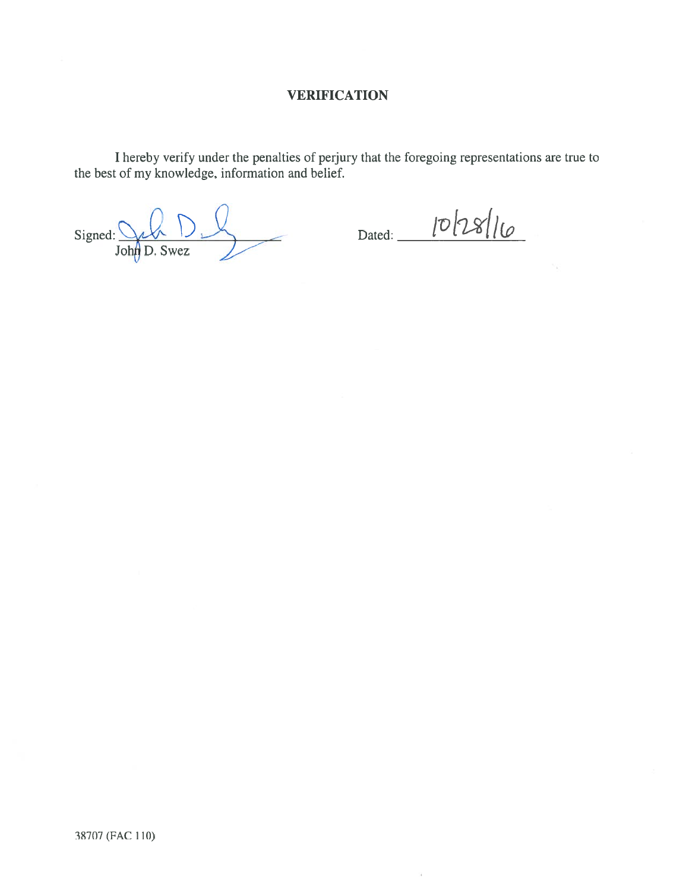# **VERIFICATION**

I hereby verify under the penalties of perjury that the foregoing representations are true to the best of my knowledge, information and belief.

 $Signed: 2400  
JohnD. Swez$ 

 $Dated: 1028/10$ 

 $\bar{\alpha}$